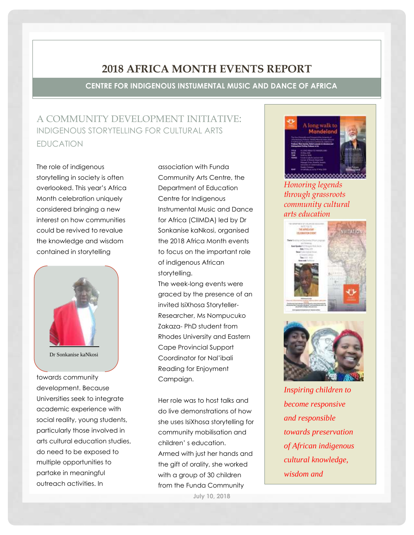## **2018 AFRICA MONTH EVENTS REPORT**

**CENTRE FOR INDIGENOUS INSTUMENTAL MUSIC AND DANCE OF AFRICA**

## A COMMUNITY DEVELOPMENT INITIATIVE: INDIGENOUS STORYTELLING FOR CULTURAL ARTS EDUCATION

The role of indigenous storytelling in society is often overlooked. This year's Africa Month celebration uniquely considered bringing a new interest on how communities could be revived to revalue the knowledge and wisdom contained in storytelling



towards community development. Because Universities seek to integrate academic experience with social reality, young students, particularly those involved in arts cultural education studies, do need to be exposed to multiple opportunities to partake in meaningful outreach activities. In

association with Funda Community Arts Centre, the Department of Education Centre for Indigenous Instrumental Music and Dance for Africa (CIIMDA) led by Dr Sonkanise kaNkosi, organised the 2018 Africa Month events to focus on the important role of indigenous African storytelling.

The week-long events were graced by the presence of an invited IsiXhosa Storyteller-Researcher, Ms Nompucuko Zakaza- PhD student from Rhodes University and Eastern Cape Provincial Support Coordinator for Nal'ibali Reading for Enjoyment Campaign.

Her role was to host talks and do live demonstrations of how she uses IsiXhosa storytelling for community mobilisation and children' s education. Armed with just her hands and the gift of orality, she worked with a group of 30 children from the Funda Community

**July 10, 2018**



*Honoring legends through grassroots community cultural arts education*





*Inspiring children to become responsive and responsible towards preservation of African indigenous cultural knowledge, wisdom and* 

*languages*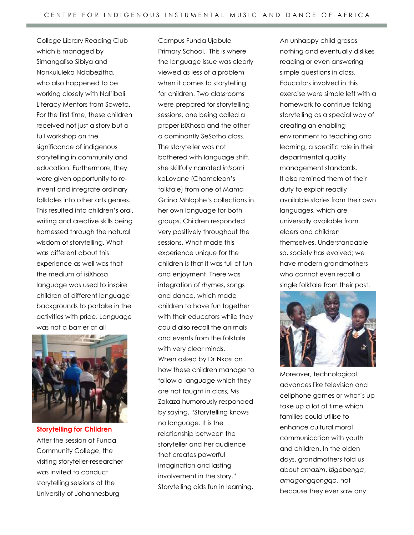College Library Reading Club which is managed by Simangaliso Sibiya and Nonkululeko Ndabezitha, who also happened to be working closely with Nal'ibali Literacy Mentors from Soweto. For the first time, these children received not just a story but a full workshop on the significance of indigenous storytelling in community and education. Furthermore, they were given opportunity to reinvent and integrate ordinary folktales into other arts genres. This resulted into children's oral, writing and creative skills being harnessed through the natural wisdom of storytelling. What was different about this experience as well was that the medium of isiXhosa language was used to inspire children of different language backgrounds to partake in the activities with pride. Language was not a barrier at all



**Storytelling for Children** After the session at Funda Community College, the visiting storyteller-researcher was invited to conduct storytelling sessions at the University of Johannesburg

Campus Funda Ujabule Primary School. This is where the language issue was clearly viewed as less of a problem when it comes to storytelling for children. Two classrooms were prepared for storytelling sessions, one being called a proper isiXhosa and the other a dominantly SeSotho class. The storyteller was not bothered with language shift, she skillfully narrated *intsomi*  kaLovane (Chameleon's folktale) from one of Mama Gcina Mhlophe's collections in her own language for both groups. Children responded very positively throughout the sessions. What made this experience unique for the children is that it was full of fun and enjoyment. There was integration of rhymes, songs and dance, which made children to have fun together with their educators while they could also recall the animals and events from the folktale with very clear minds. When asked by Dr Nkosi on how these children manage to follow a language which they are not taught in class, Ms Zakaza humorously responded by saying, "Storytelling knows no language. It is the relationship between the storyteller and her audience that creates powerful imagination and lasting involvement in the story." Storytelling aids fun in learning.

An unhappy child grasps nothing and eventually dislikes reading or even answering simple questions in class. Educators involved in this exercise were simple left with a homework to continue taking storytelling as a special way of creating an enabling environment to teaching and learning, a specific role in their departmental quality management standards. It also remined them of their duty to exploit readily available stories from their own languages, which are universally available from elders and children themselves. Understandable so, society has evolved; we have modern grandmothers who cannot even recall a single folktale from their past.



Moreover, technological advances like television and cellphone games or what's up take up a lot of time which families could utilise to enhance cultural moral communication with youth and children. In the olden days, grandmothers told us about *amazim*, *izigebenga*, *amagongqongqo*, not because they ever saw any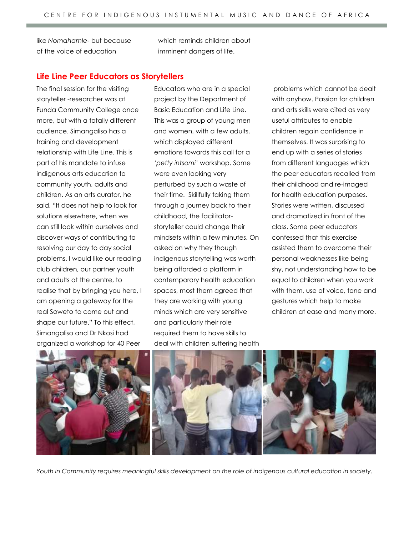like *Nomahamle*- but because of the voice of education

which reminds children about imminent dangers of life.

## **Life Line Peer Educators as Storytellers**

The final session for the visiting storyteller -researcher was at Funda Community College once more, but with a totally different audience. Simangaliso has a training and development relationship with Life Line. This is part of his mandate to infuse indigenous arts education to community youth, adults and children. As an arts curator, he said, "It does not help to look for solutions elsewhere, when we can still look within ourselves and discover ways of contributing to resolving our day to day social problems. I would like our reading club children, our partner youth and adults at the centre, to realise that by bringing you here, I am opening a gateway for the real Soweto to come out and shape our future." To this effect, Simangaliso and Dr Nkosi had organized a workshop for 40 Peer

Educators who are in a special project by the Department of Basic Education and Life Line. This was a group of young men and women, with a few adults, which displayed different emotions towards this call for a '*petty intsomi'* workshop. Some were even looking very perturbed by such a waste of their time. Skillfully taking them through a journey back to their childhood, the facilitatorstoryteller could change their mindsets within a few minutes. On asked on why they though indigenous storytelling was worth being afforded a platform in contemporary health education spaces, most them agreed that they are working with young minds which are very sensitive and particularly their role required them to have skills to deal with children suffering health

problems which cannot be dealt with anyhow. Passion for children and arts skills were cited as very useful attributes to enable children regain confidence in themselves. It was surprising to end up with a series of stories from different languages which the peer educators recalled from their childhood and re-imaged for health education purposes. Stories were written, discussed and dramatized in front of the class. Some peer educators confessed that this exercise assisted them to overcome their personal weaknesses like being shy, not understanding how to be equal to children when you work with them, use of voice, tone and gestures which help to make children at ease and many more.



*Youth in Community requires meaningful skills development on the role of indigenous cultural education in society.*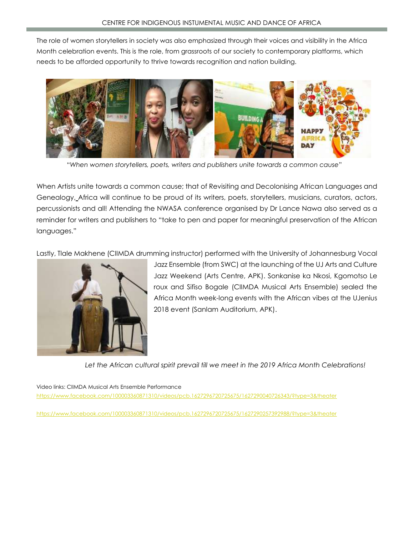The role of women storytellers in society was also emphasized through their voices and visibility in the Africa Month celebration events. This is the role, from grassroots of our society to contemporary platforms, which needs to be afforded opportunity to thrive towards recognition and nation building.



"*When women storytellers, poets, writers and publishers unite towards a common cause*"

When Artists unite towards a common cause; that of Revisiting and Decolonising African Languages and Genealogy, Africa will continue to be proud of its writers, poets, storytellers, musicians, curators, actors, percussionists and all! Attending the NWASA conference organised by Dr Lance Nawa also served as a reminder for writers and publishers to "take to pen and paper for meaningful preservation of the African languages."

Lastly, Tlale Makhene (CIIMDA drumming instructor) performed with the University of Johannesburg Vocal



Jazz Ensemble (from SWC) at the launching of the UJ Arts and Culture Jazz Weekend (Arts Centre, APK). Sonkanise ka Nkosi, Kgomotso Le roux and Sifiso Bogale (CIIMDA Musical Arts Ensemble) sealed the Africa Month week-long events with the African vibes at the UJenius 2018 event (Sanlam Auditorium, APK).

*Let the African cultural spirit prevail till we meet in the 2019 Africa Month Celebrations!*

Video links: CIIMDA Musical Arts Ensemble Performance <https://www.facebook.com/100003360871310/videos/pcb.1627296720725675/1627290040726343/?type=3&theater>

<https://www.facebook.com/100003360871310/videos/pcb.1627296720725675/1627290257392988/?type=3&theater>